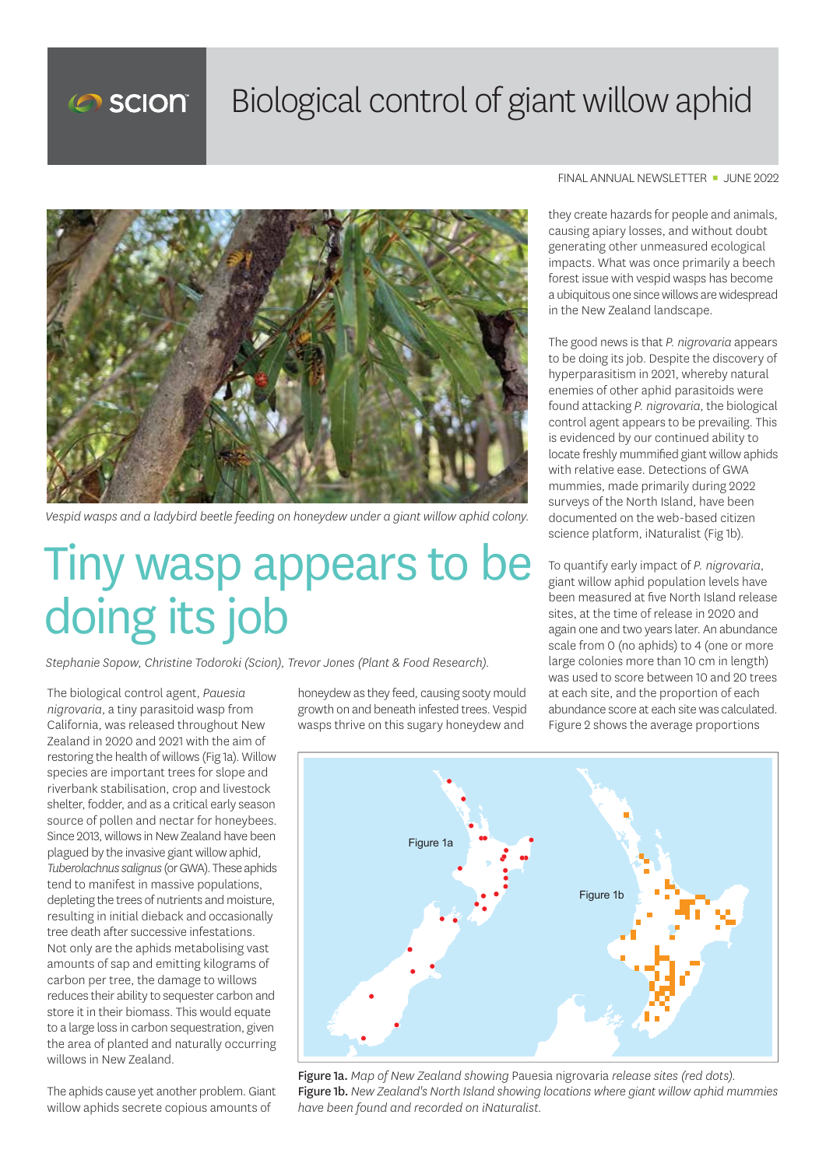

## Biological control of giant willow aphid



*Vespid wasps and a ladybird beetle feeding on honeydew under a giant willow aphid colony.*

## Tiny wasp appears to be doing its job

*Stephanie Sopow, Christine Todoroki (Scion), Trevor Jones (Plant & Food Research).*

The biological control agent, *Pauesia nigrovaria*, a tiny parasitoid wasp from California, was released throughout New Zealand in 2020 and 2021 with the aim of restoring the health of willows (Fig 1a). Willow species are important trees for slope and riverbank stabilisation, crop and livestock shelter, fodder, and as a critical early season source of pollen and nectar for honeybees. Since 2013, willows in New Zealand have been plagued by the invasive giant willow aphid, *Tuberolachnus salignus* (or GWA). These aphids tend to manifest in massive populations, depleting the trees of nutrients and moisture, resulting in initial dieback and occasionally tree death after successive infestations. Not only are the aphids metabolising vast amounts of sap and emitting kilograms of carbon per tree, the damage to willows reduces their ability to sequester carbon and store it in their biomass. This would equate to a large loss in carbon sequestration, given the area of planted and naturally occurring willows in New Zealand.

The aphids cause yet another problem. Giant willow aphids secrete copious amounts of

honeydew as they feed, causing sooty mould growth on and beneath infested trees. Vespid wasps thrive on this sugary honeydew and

FINAL ANNUAL NEWSLETTER · JUNE 2022

they create hazards for people and animals, causing apiary losses, and without doubt generating other unmeasured ecological impacts. What was once primarily a beech forest issue with vespid wasps has become a ubiquitous one since willows are widespread in the New Zealand landscape.

The good news is that *P. nigrovaria* appears to be doing its job. Despite the discovery of hyperparasitism in 2021, whereby natural enemies of other aphid parasitoids were found attacking *P. nigrovaria*, the biological control agent appears to be prevailing. This is evidenced by our continued ability to locate freshly mummified giant willow aphids with relative ease. Detections of GWA mummies, made primarily during 2022 surveys of the North Island, have been documented on the web-based citizen science platform, iNaturalist (Fig 1b).

To quantify early impact of *P. nigrovaria*, giant willow aphid population levels have been measured at five North Island release sites, at the time of release in 2020 and again one and two years later. An abundance scale from 0 (no aphids) to 4 (one or more large colonies more than 10 cm in length) was used to score between 10 and 20 trees at each site, and the proportion of each abundance score at each site was calculated. Figure 2 shows the average proportions



Figure 1a. *Map of New Zealand showing* Pauesia nigrovaria *release sites (red dots).* Figure 1b. *New Zealand's North Island showing locations where giant willow aphid mummies have been found and recorded on iNaturalist.*